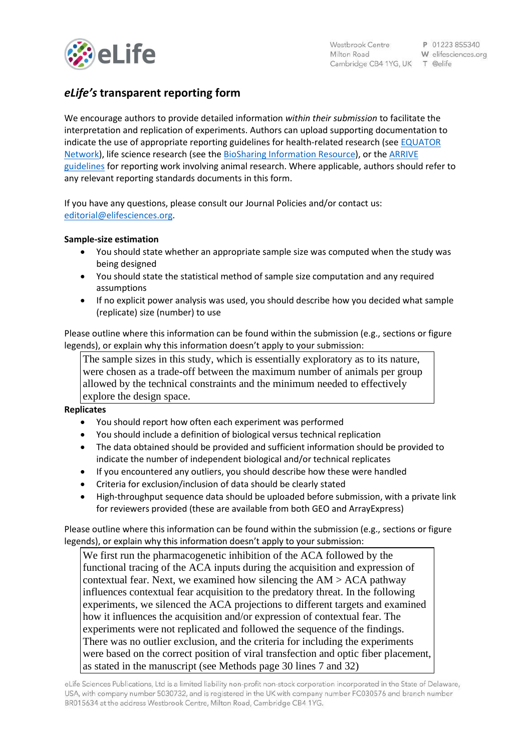

# *eLife's* **transparent reporting form**

We encourage authors to provide detailed information *within their submission* to facilitate the interpretation and replication of experiments. Authors can upload supporting documentation to indicate the use of appropriate reporting guidelines for health-related research (see [EQUATOR](http://www.equator-network.org/)  [Network\)](http://www.equator-network.org/), life science research (see the [BioSharing Information Resource\)](https://biosharing.org/), or the [ARRIVE](http://www.plosbiology.org/article/info:doi/10.1371/journal.pbio.1000412)  [guidelines](http://www.plosbiology.org/article/info:doi/10.1371/journal.pbio.1000412) for reporting work involving animal research. Where applicable, authors should refer to any relevant reporting standards documents in this form.

If you have any questions, please consult our Journal Policies and/or contact us: [editorial@elifesciences.org.](mailto:editorial@elifesciences.org)

## **Sample-size estimation**

- You should state whether an appropriate sample size was computed when the study was being designed
- You should state the statistical method of sample size computation and any required assumptions
- If no explicit power analysis was used, you should describe how you decided what sample (replicate) size (number) to use

Please outline where this information can be found within the submission (e.g., sections or figure legends), or explain why this information doesn't apply to your submission:

The sample sizes in this study, which is essentially exploratory as to its nature, were chosen as a trade-off between the maximum number of animals per group allowed by the technical constraints and the minimum needed to effectively explore the design space.

### **Replicates**

- You should report how often each experiment was performed
- You should include a definition of biological versus technical replication
- The data obtained should be provided and sufficient information should be provided to indicate the number of independent biological and/or technical replicates
- If you encountered any outliers, you should describe how these were handled
- Criteria for exclusion/inclusion of data should be clearly stated
- High-throughput sequence data should be uploaded before submission, with a private link for reviewers provided (these are available from both GEO and ArrayExpress)

Please outline where this information can be found within the submission (e.g., sections or figure legends), or explain why this information doesn't apply to your submission:

We first run the pharmacogenetic inhibition of the ACA followed by the functional tracing of the ACA inputs during the acquisition and expression of contextual fear. Next, we examined how silencing the  $AM > ACA$  pathway influences contextual fear acquisition to the predatory threat. In the following experiments, we silenced the ACA projections to different targets and examined how it influences the acquisition and/or expression of contextual fear. The experiments were not replicated and followed the sequence of the findings. There was no outlier exclusion, and the criteria for including the experiments were based on the correct position of viral transfection and optic fiber placement, as stated in the manuscript (see Methods page 30 lines 7 and 32)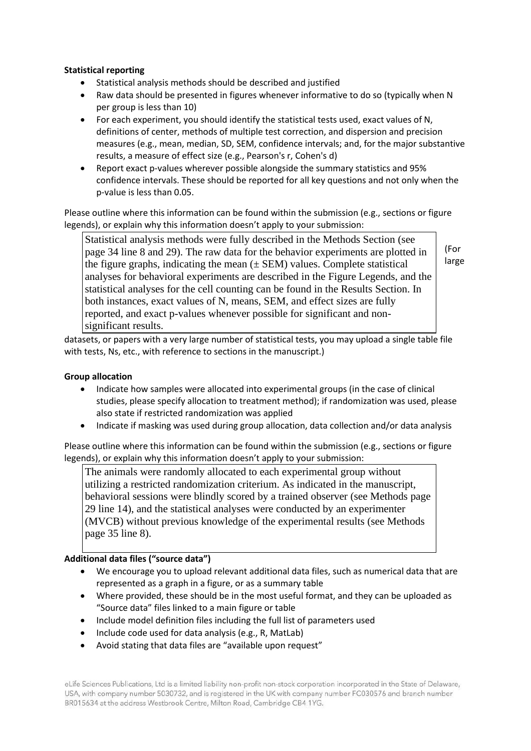# **Statistical reporting**

- Statistical analysis methods should be described and justified
- Raw data should be presented in figures whenever informative to do so (typically when N per group is less than 10)
- For each experiment, you should identify the statistical tests used, exact values of N, definitions of center, methods of multiple test correction, and dispersion and precision measures (e.g., mean, median, SD, SEM, confidence intervals; and, for the major substantive results, a measure of effect size (e.g., Pearson's r, Cohen's d)
- Report exact p-values wherever possible alongside the summary statistics and 95% confidence intervals. These should be reported for all key questions and not only when the p-value is less than 0.05.

Please outline where this information can be found within the submission (e.g., sections or figure legends), or explain why this information doesn't apply to your submission:

Statistical analysis methods were fully described in the Methods Section (see page 34 line 8 and 29). The raw data for the behavior experiments are plotted in the figure graphs, indicating the mean  $(\pm$  SEM) values. Complete statistical analyses for behavioral experiments are described in the Figure Legends, and the statistical analyses for the cell counting can be found in the Results Section. In both instances, exact values of N, means, SEM, and effect sizes are fully reported, and exact p-values whenever possible for significant and nonsignificant results.

(For large

datasets, or papers with a very large number of statistical tests, you may upload a single table file with tests, Ns, etc., with reference to sections in the manuscript.)

## **Group allocation**

- Indicate how samples were allocated into experimental groups (in the case of clinical studies, please specify allocation to treatment method); if randomization was used, please also state if restricted randomization was applied
- Indicate if masking was used during group allocation, data collection and/or data analysis

Please outline where this information can be found within the submission (e.g., sections or figure legends), or explain why this information doesn't apply to your submission:

The animals were randomly allocated to each experimental group without utilizing a restricted randomization criterium. As indicated in the manuscript, behavioral sessions were blindly scored by a trained observer (see Methods page 29 line 14), and the statistical analyses were conducted by an experimenter (MVCB) without previous knowledge of the experimental results (see Methods page 35 line 8).

### **Additional data files ("source data")**

- We encourage you to upload relevant additional data files, such as numerical data that are represented as a graph in a figure, or as a summary table
- Where provided, these should be in the most useful format, and they can be uploaded as "Source data" files linked to a main figure or table
- Include model definition files including the full list of parameters used
- Include code used for data analysis (e.g., R, MatLab)
- Avoid stating that data files are "available upon request"

eLife Sciences Publications, Ltd is a limited liability non-profit non-stock corporation incorporated in the State of Delaware, USA, with company number 5030732, and is registered in the UK with company number FC030576 and branch number BR015634 at the address Westbrook Centre, Milton Road, Cambridge CB4 1YG.